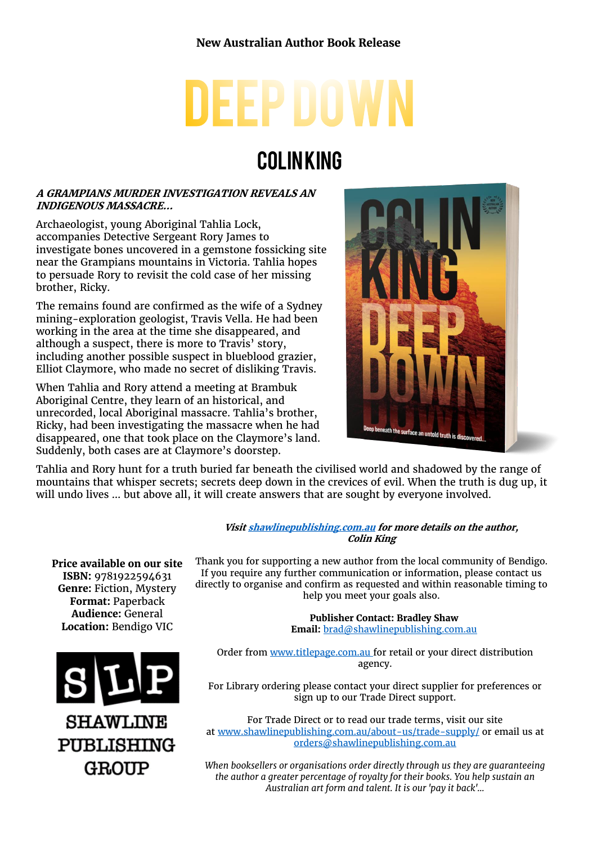# **EEP DOV**

## **COLINKING**

#### **A GRAMPIANS MURDER INVESTIGATION REVEALS AN INDIGENOUS MASSACRE…**

Archaeologist, young Aboriginal Tahlia Lock, accompanies Detective Sergeant Rory James to investigate bones uncovered in a gemstone fossicking site near the Grampians mountains in Victoria. Tahlia hopes to persuade Rory to revisit the cold case of her missing brother, Ricky.

The remains found are confirmed as the wife of a Sydney mining-exploration geologist, Travis Vella. He had been working in the area at the time she disappeared, and although a suspect, there is more to Travis' story, including another possible suspect in blueblood grazier, Elliot Claymore, who made no secret of disliking Travis.

When Tahlia and Rory attend a meeting at Brambuk Aboriginal Centre, they learn of an historical, and unrecorded, local Aboriginal massacre. Tahlia's brother, Ricky, had been investigating the massacre when he had disappeared, one that took place on the Claymore's land. Suddenly, both cases are at Claymore's doorstep.



Tahlia and Rory hunt for a truth buried far beneath the civilised world and shadowed by the range of mountains that whisper secrets; secrets deep down in the crevices of evil. When the truth is dug up, it will undo lives … but above all, it will create answers that are sought by everyone involved.

> **Visi[t shawlinepublishing.com.au](https://www.shawlinepublishing.com.au/our-titles/fiction/display/155-deep-down) for more details on the author, Colin King**

**Price available on our site ISBN:** 9781922594631 **Genre:** Fiction, Mystery **Format:** Paperback **Audience:** General **Location:** Bendigo VIC



Thank you for supporting a new author from the local community of Bendigo. If you require any further communication or information, please contact us directly to organise and confirm as requested and within reasonable timing to help you meet your goals also.

> **Publisher Contact: Bradley Shaw Email:** [brad@shawlinepublishing.com.au](mailto:brad@shawlinepublishing.com.au)

Order from [www.titlepage.com.au](http://www.titlepage.com.au/) for retail or your direct distribution agency.

For Library ordering please contact your direct supplier for preferences or sign up to our Trade Direct support.

For Trade Direct or to read our trade terms, visit our site at [www.shawlinepublishing.com.au/about-us/trade-supply/](http://www.shawlinepublishing.com.au/about-us/trade-supply/) or email us at [orders@shawlinepublishing.com.au](mailto:orders@shawlinepublishing.com.au)

*When booksellers or organisations order directly through us they are guaranteeing the author a greater percentage of royalty for their books. You help sustain an Australian art form and talent. It is our 'pay it back'...*